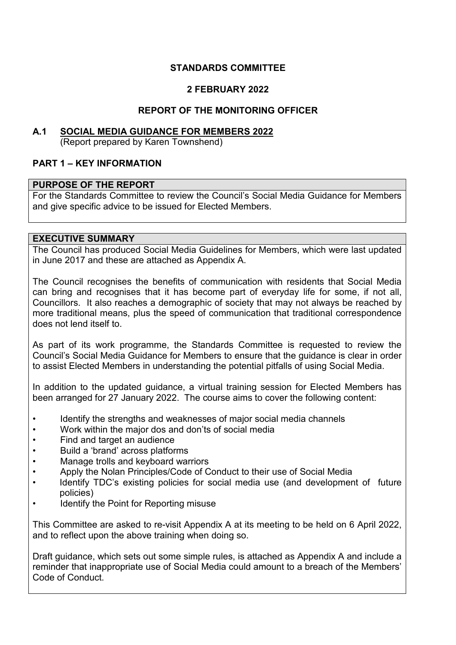# **STANDARDS COMMITTEE**

# **2 FEBRUARY 2022**

# **REPORT OF THE MONITORING OFFICER**

#### **A.1 SOCIAL MEDIA GUIDANCE FOR MEMBERS 2022** (Report prepared by Karen Townshend)

## **PART 1 – KEY INFORMATION**

## **PURPOSE OF THE REPORT**

For the Standards Committee to review the Council's Social Media Guidance for Members and give specific advice to be issued for Elected Members.

#### **EXECUTIVE SUMMARY**

The Council has produced Social Media Guidelines for Members, which were last updated in June 2017 and these are attached as Appendix A.

The Council recognises the benefits of communication with residents that Social Media can bring and recognises that it has become part of everyday life for some, if not all, Councillors. It also reaches a demographic of society that may not always be reached by more traditional means, plus the speed of communication that traditional correspondence does not lend itself to.

As part of its work programme, the Standards Committee is requested to review the Council's Social Media Guidance for Members to ensure that the guidance is clear in order to assist Elected Members in understanding the potential pitfalls of using Social Media.

In addition to the updated guidance, a virtual training session for Elected Members has been arranged for 27 January 2022. The course aims to cover the following content:

- Identify the strengths and weaknesses of major social media channels
- Work within the major dos and don'ts of social media
- Find and target an audience
- Build a 'brand' across platforms
- Manage trolls and keyboard warriors
- Apply the Nolan Principles/Code of Conduct to their use of Social Media
- Identify TDC's existing policies for social media use (and development of future policies)
- Identify the Point for Reporting misuse

This Committee are asked to re-visit Appendix A at its meeting to be held on 6 April 2022, and to reflect upon the above training when doing so.

Draft guidance, which sets out some simple rules, is attached as Appendix A and include a reminder that inappropriate use of Social Media could amount to a breach of the Members' Code of Conduct.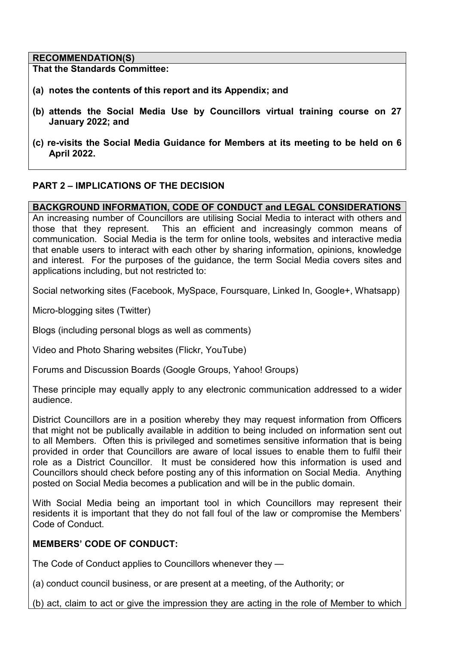#### **RECOMMENDATION(S)**

**That the Standards Committee:** 

- **(a) notes the contents of this report and its Appendix; and**
- **(b) attends the Social Media Use by Councillors virtual training course on 27 January 2022; and**
- **(c) re-visits the Social Media Guidance for Members at its meeting to be held on 6 April 2022.**

## **PART 2 – IMPLICATIONS OF THE DECISION**

#### **BACKGROUND INFORMATION, CODE OF CONDUCT and LEGAL CONSIDERATIONS**

An increasing number of Councillors are utilising Social Media to interact with others and those that they represent. This an efficient and increasingly common means of communication. Social Media is the term for online tools, websites and interactive media that enable users to interact with each other by sharing information, opinions, knowledge and interest. For the purposes of the guidance, the term Social Media covers sites and applications including, but not restricted to:

Social networking sites (Facebook, MySpace, Foursquare, Linked In, Google+, Whatsapp)

Micro-blogging sites (Twitter)

Blogs (including personal blogs as well as comments)

Video and Photo Sharing websites (Flickr, YouTube)

Forums and Discussion Boards (Google Groups, Yahoo! Groups)

These principle may equally apply to any electronic communication addressed to a wider audience.

District Councillors are in a position whereby they may request information from Officers that might not be publically available in addition to being included on information sent out to all Members. Often this is privileged and sometimes sensitive information that is being provided in order that Councillors are aware of local issues to enable them to fulfil their role as a District Councillor. It must be considered how this information is used and Councillors should check before posting any of this information on Social Media. Anything posted on Social Media becomes a publication and will be in the public domain.

With Social Media being an important tool in which Councillors may represent their residents it is important that they do not fall foul of the law or compromise the Members' Code of Conduct.

## **MEMBERS' CODE OF CONDUCT:**

The Code of Conduct applies to Councillors whenever they —

(a) conduct council business, or are present at a meeting, of the Authority; or

(b) act, claim to act or give the impression they are acting in the role of Member to which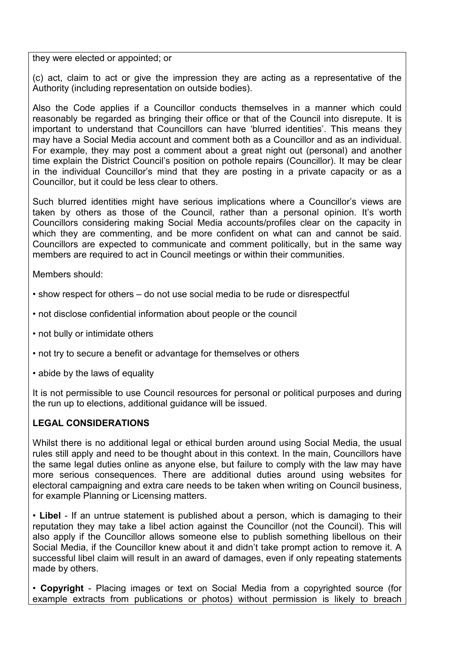they were elected or appointed; or

(c) act, claim to act or give the impression they are acting as a representative of the Authority (including representation on outside bodies).

Also the Code applies if a Councillor conducts themselves in a manner which could reasonably be regarded as bringing their office or that of the Council into disrepute. It is important to understand that Councillors can have 'blurred identities'. This means they may have a Social Media account and comment both as a Councillor and as an individual. For example, they may post a comment about a great night out (personal) and another time explain the District Council's position on pothole repairs (Councillor). It may be clear in the individual Councillor's mind that they are posting in a private capacity or as a Councillor, but it could be less clear to others.

Such blurred identities might have serious implications where a Councillor's views are taken by others as those of the Council, rather than a personal opinion. It's worth Councillors considering making Social Media accounts/profiles clear on the capacity in which they are commenting, and be more confident on what can and cannot be said. Councillors are expected to communicate and comment politically, but in the same way members are required to act in Council meetings or within their communities.

Members should:

- show respect for others do not use social media to be rude or disrespectful
- not disclose confidential information about people or the council
- not bully or intimidate others
- not try to secure a benefit or advantage for themselves or others
- abide by the laws of equality

It is not permissible to use Council resources for personal or political purposes and during the run up to elections, additional guidance will be issued.

#### **LEGAL CONSIDERATIONS**

Whilst there is no additional legal or ethical burden around using Social Media, the usual rules still apply and need to be thought about in this context. In the main, Councillors have the same legal duties online as anyone else, but failure to comply with the law may have more serious consequences. There are additional duties around using websites for electoral campaigning and extra care needs to be taken when writing on Council business, for example Planning or Licensing matters.

• **Libel** - If an untrue statement is published about a person, which is damaging to their reputation they may take a libel action against the Councillor (not the Council). This will also apply if the Councillor allows someone else to publish something libellous on their Social Media, if the Councillor knew about it and didn't take prompt action to remove it. A successful libel claim will result in an award of damages, even if only repeating statements made by others.

• **Copyright** - Placing images or text on Social Media from a copyrighted source (for example extracts from publications or photos) without permission is likely to breach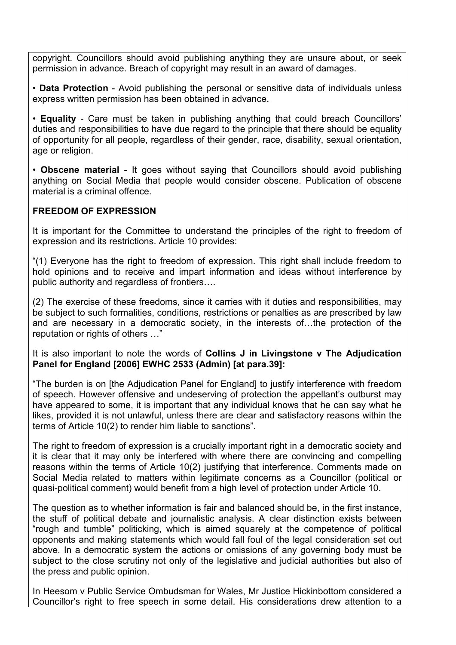copyright. Councillors should avoid publishing anything they are unsure about, or seek permission in advance. Breach of copyright may result in an award of damages.

• **Data Protection** - Avoid publishing the personal or sensitive data of individuals unless express written permission has been obtained in advance.

• **Equality** - Care must be taken in publishing anything that could breach Councillors' duties and responsibilities to have due regard to the principle that there should be equality of opportunity for all people, regardless of their gender, race, disability, sexual orientation, age or religion.

• **Obscene material** - It goes without saying that Councillors should avoid publishing anything on Social Media that people would consider obscene. Publication of obscene material is a criminal offence.

# **FREEDOM OF EXPRESSION**

It is important for the Committee to understand the principles of the right to freedom of expression and its restrictions. Article 10 provides:

"(1) Everyone has the right to freedom of expression. This right shall include freedom to hold opinions and to receive and impart information and ideas without interference by public authority and regardless of frontiers….

(2) The exercise of these freedoms, since it carries with it duties and responsibilities, may be subject to such formalities, conditions, restrictions or penalties as are prescribed by law and are necessary in a democratic society, in the interests of…the protection of the reputation or rights of others …"

It is also important to note the words of **Collins J in Livingstone v The Adjudication Panel for England [2006] EWHC 2533 (Admin) [at para.39]:**

"The burden is on [the Adjudication Panel for England] to justify interference with freedom of speech. However offensive and undeserving of protection the appellant's outburst may have appeared to some, it is important that any individual knows that he can say what he likes, provided it is not unlawful, unless there are clear and satisfactory reasons within the terms of Article 10(2) to render him liable to sanctions".

The right to freedom of expression is a crucially important right in a democratic society and it is clear that it may only be interfered with where there are convincing and compelling reasons within the terms of Article 10(2) justifying that interference. Comments made on Social Media related to matters within legitimate concerns as a Councillor (political or quasi-political comment) would benefit from a high level of protection under Article 10.

The question as to whether information is fair and balanced should be, in the first instance, the stuff of political debate and journalistic analysis. A clear distinction exists between "rough and tumble" politicking, which is aimed squarely at the competence of political opponents and making statements which would fall foul of the legal consideration set out above. In a democratic system the actions or omissions of any governing body must be subject to the close scrutiny not only of the legislative and judicial authorities but also of the press and public opinion.

In Heesom v Public Service Ombudsman for Wales, Mr Justice Hickinbottom considered a Councillor's right to free speech in some detail. His considerations drew attention to a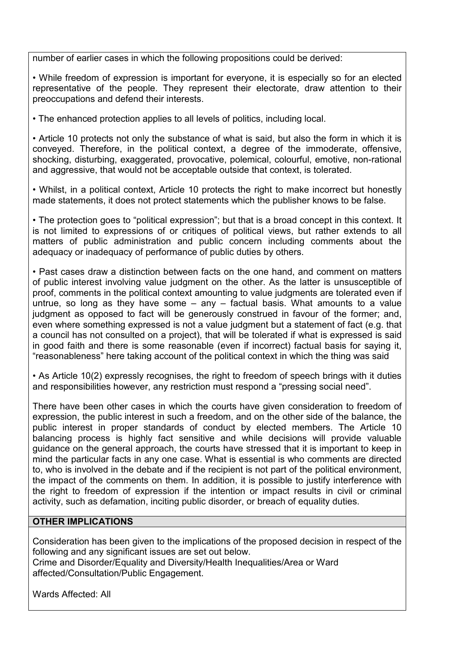number of earlier cases in which the following propositions could be derived:

• While freedom of expression is important for everyone, it is especially so for an elected representative of the people. They represent their electorate, draw attention to their preoccupations and defend their interests.

• The enhanced protection applies to all levels of politics, including local.

• Article 10 protects not only the substance of what is said, but also the form in which it is conveyed. Therefore, in the political context, a degree of the immoderate, offensive, shocking, disturbing, exaggerated, provocative, polemical, colourful, emotive, non-rational and aggressive, that would not be acceptable outside that context, is tolerated.

• Whilst, in a political context, Article 10 protects the right to make incorrect but honestly made statements, it does not protect statements which the publisher knows to be false.

• The protection goes to "political expression"; but that is a broad concept in this context. It is not limited to expressions of or critiques of political views, but rather extends to all matters of public administration and public concern including comments about the adequacy or inadequacy of performance of public duties by others.

• Past cases draw a distinction between facts on the one hand, and comment on matters of public interest involving value judgment on the other. As the latter is unsusceptible of proof, comments in the political context amounting to value judgments are tolerated even if untrue, so long as they have some  $-$  any  $-$  factual basis. What amounts to a value judgment as opposed to fact will be generously construed in favour of the former; and, even where something expressed is not a value judgment but a statement of fact (e.g. that a council has not consulted on a project), that will be tolerated if what is expressed is said in good faith and there is some reasonable (even if incorrect) factual basis for saying it, "reasonableness" here taking account of the political context in which the thing was said

• As Article 10(2) expressly recognises, the right to freedom of speech brings with it duties and responsibilities however, any restriction must respond a "pressing social need".

There have been other cases in which the courts have given consideration to freedom of expression, the public interest in such a freedom, and on the other side of the balance, the public interest in proper standards of conduct by elected members. The Article 10 balancing process is highly fact sensitive and while decisions will provide valuable guidance on the general approach, the courts have stressed that it is important to keep in mind the particular facts in any one case. What is essential is who comments are directed to, who is involved in the debate and if the recipient is not part of the political environment, the impact of the comments on them. In addition, it is possible to justify interference with the right to freedom of expression if the intention or impact results in civil or criminal activity, such as defamation, inciting public disorder, or breach of equality duties.

#### **OTHER IMPLICATIONS**

Consideration has been given to the implications of the proposed decision in respect of the following and any significant issues are set out below.

Crime and Disorder/Equality and Diversity/Health Inequalities/Area or Ward affected/Consultation/Public Engagement.

Wards Affected: All